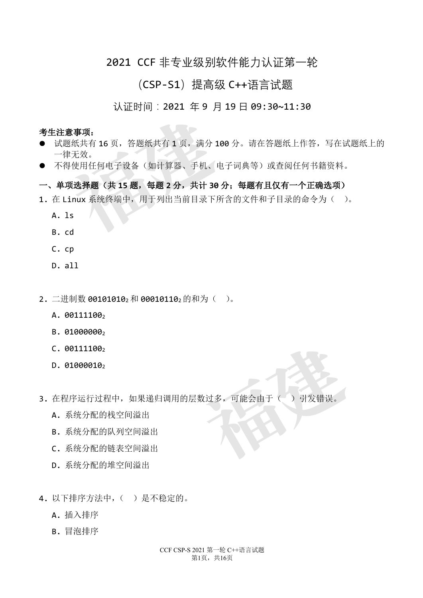# 2021 CCF 非专业级别软件能力认证第一轮

# (CSP-S1)提高级 C++语言试题

### 认证时间: 2021 年 9 月 19 日 09:30~11:30

考生注意事项:

- 试题纸共有 16 页,答题纸共有 1 页,满分 100 分。请在答题纸上作答,写在试题纸上的 一律无效。 **意事项:**<br>《纸共有 16 页,答题纸共有 1 页,满分 106<br>《无效。<br>得使用任何电子设备(如计算器、手机、电子<br>**项选择题(共 15 题,每题 2 分,共计 30 分**<br>inux 系统终端中,用于列出当前目录下所?<br>inux 系统终端中,用于列出当前目录下所?
- l 不得使用任何电子设备(如计算器、手机、电子词典等)或查阅任何书籍资料。

## 一、单项选择题(共 **15** 题,每题 **2** 分,共计 **30** 分;每题有且仅有一个正确选项)

- 1. 在 Linux 系统终端中, 用于列出当前目录下所含的文件和子目录的命令为()。
	- A. ls
	- B. cd
	- C. cp
	- D. all
- 2. 二进制数 001010102 和 000101102 的和为( )。
	- A. 001111002
	- B. 01000000
	- $C. 001111002$
	- $D. 01000010$
- 3. 在程序运行过程中,如果递归调用的层数过多,可能会由于()引发错误。 数过多,可能会由于()引发错误。
	- A. 系统分配的栈空间溢出
	- B. 系统分配的队列空间溢出
	- C. 系统分配的链表空间溢出
	- D. 系统分配的堆空间溢出
- 4. 以下排序方法中, ( ) 是不稳定的。
	- A. 插入排序
	- B. 冒泡排序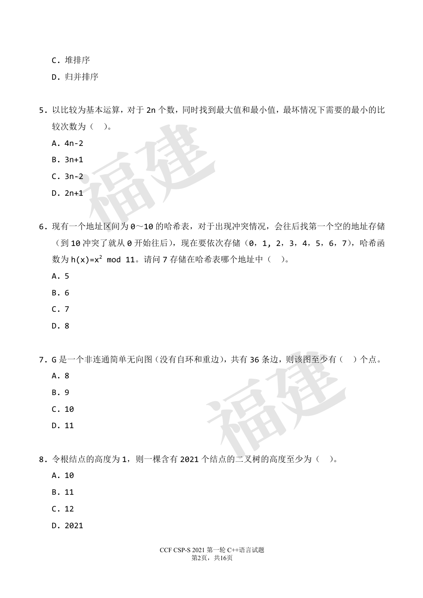C. 堆排序

D. 归并排序

- 5. 以比较为基本运算, 对于 2n 个数, 同时找到最大值和最小值, 最坏情况下需要的最小的比 较次数为()。 **福建**
	- A. 4n-2
	- B. 3n+1
	- C. 3n-2
	- D. 2n+1
- 6. 现有一个地址区间为 0~10 的哈希表,对于出现冲突情况,会往后找第一个空的地址存储 (到10 冲突了就从 0 开始往后), 现在要依次存储(0, 1, 2, 3, 4, 5, 6, 7), 哈希函 数为 h(x)=x<sup>2</sup> mod 11。请问 7 存储在哈希表哪个地址中( )。
	- A. 5
	- B. 6
	- C. 7
	- D. 8
- 7. G 是一个非连通简单无向图(没有自环和重边),共有 36 条边,则该图至少有( )个点。 田重边),共有36条边,则该图至少有(
	- A. 8
	- B. 9
	- C. 10
	- D. 11
- 8. 令根结点的高度为1, 则一棵含有 2021 个结点的二叉树的高度至少为()。
	- A. 10
	- B. 11
	- C. 12
	- D. 2021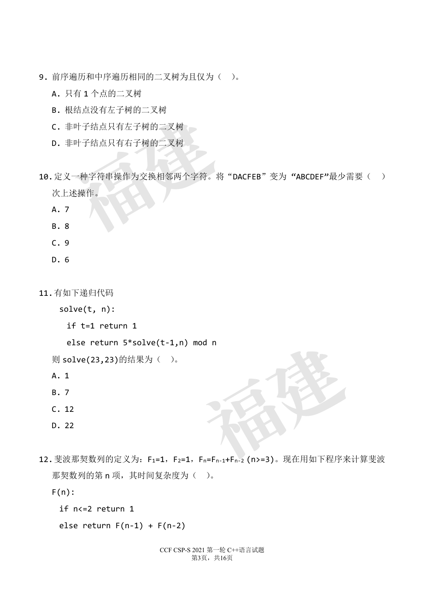- 9. 前序遍历和中序遍历相同的二叉树为且仅为( )。
	- A. 只有 1 个点的二叉树
	- B. 根结点没有左子树的二叉树
	- C. 非叶子结点只有左子树的二叉树
	- D. 非叶子结点只有右子树的二叉树
- 10. 定义一种字符串操作为交换相邻两个字符。将"DACFEB"变为"ABCDEF"最少需要() 次上述操作。 **福建**
	- A. 7
	- B. 8
	- C. 9
	- D. 6

11.有如下递归代码

```
solve(t, n):
```
if t=1 return 1

```
else return 5*solve(t-1,n) mod n
```
则 solve(23,23)的结果为( )。

- A. 1
- B. 7
- C. 12
- D. 22
- 12. 斐波那契数列的定义为: F1=1, F2=1, Fn=Fn-1+Fn-2 (n>=3)。现在用如下程序来计算斐波 那契数列的第 n 项, 其时间复杂度为()。 od n<br>
a<br>
F<sub>n=Fn-1+Fn-2</sub> (n>=3)。 现在用如下程序来

 $F(n)$ :

```
if n<=2 return 1
```

```
else return F(n-1) + F(n-2)
```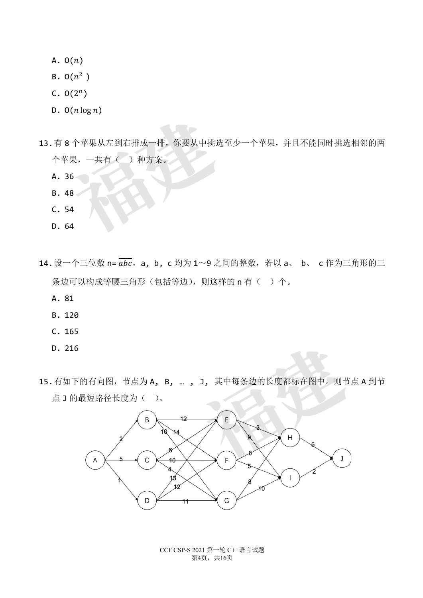- A.  $O(n)$
- $B. O(n^2)$
- C.  $O(2^n)$
- $D. O(n \log n)$
- 13.有 8 个苹果从左到右排成一排,你要从中挑选至少一个苹果,并且不能同时挑选相邻的两 个苹果,一共有( )种方案。 ; \^\*\*果从左到右排成一排,你要从中挑选<sup>2</sup><br>果,一共有( )种方案。<br>66<br>18<br>14
	- A. 36
	- B. 48
	- C. 54
	- D. 64
- 14. 设一个三位数 n=  $\overline{abc}$ , a, b, c 均为 1~9 之间的整数, 若以 a、 b、 c 作为三角形的三 条边可以构成等腰三角形(包括等边), 则这样的 n 有( ) 个。
	- A. 81
	- B. 120
	- C. 165
	- D. 216
- 15.有如下的有向图,节点为 A, B, … , J, 其中每条边的长度都标在图中。则节点 A 到节 点 J 的最短路径长度为( )。



CCF CSP-S 2021 第一轮 C++语言试题 第4页,共16页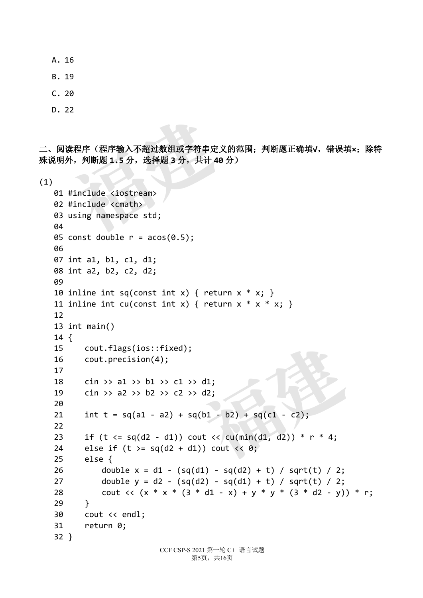- A. 16
- B. 19
- C. 20
- D. 22

```
二、阅读程序(程序输入不超过数组或字符串定义的范围;判断题正确填√,错误填×;除特
殊说明外,判断题 1.5 分,选择题 3 分,共计 40 分)
```
(1)

```
CCF CSP-S 2021 第一轮 C++语言试题
                                   第5页,共16页
01 #include <iostream>
02 #include <cmath>
03 using namespace std;
04
05 const double r = a cos(\theta.5);
06
07 int a1, b1, c1, d1;
08 int a2, b2, c2, d2;
09 
10 inline int sq(const int x) { return x * x; }
11 inline int cu(const int x) { return x * x * x; }
12 
13 int main()
14 {
15 cout.flags(ios::fixed);
16 cout.precision(4);
17
18 cin >> a1 >> b1 >> c1 >> d1;
19 cin >> a2 >> b2 >> c2 >> d2:
20
21 int t = sq(a1 - a2) + sq(b1 - b2) + sq(c1 - c2);22
23 if (t \leq sq(d2 - d1)) cout \lt\lt c u(min(d1, d2)) * r * 4;24 else if (t \geq s q(d2 + d1)) cout \langle \langle \theta \rangle;
25 else {
26 double x = d1 - (sq(d1) - sq(d2) + t) / sqrt(t) / 2;27 double y = d2 - (sq(d2) - sq(d1) + t) / sqrt(t) / 2;28 cout << (x * x * (3 * d1 - x) + y * y * (3 * d2 - y)) * r;29 }
30 cout << endl;
31 return 0;
32 }
   -<br><br><br><br><br><br><br><br><br>#include <iostream><br>#include <iostream><br>#include <cmath><br>using namespace std;<br><br>const double n = 2CoS(0 5).
                                     d1;<br>d2;<br>(b1 - b2) + sq(c1 - c2);<br>ut << cu(min(d1, d2)) * r * 4;<br>)) cout << 0;
```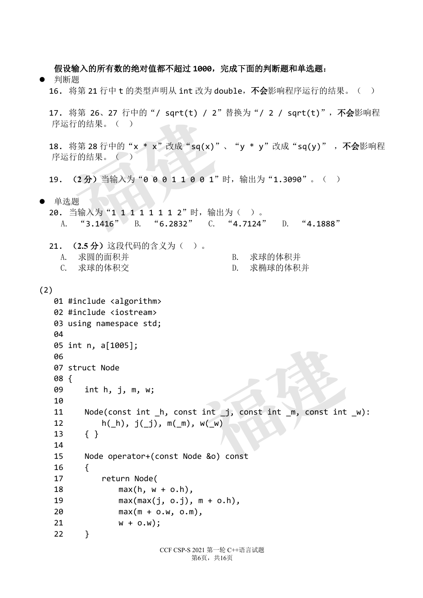假设输入的所有数的绝对值都不超过 **1000**,完成下面的判断题和单选题:

- l 判断题
	- 16. 将第 21 行中 t 的类型声明从 int 改为 double, 不会影响程序运行的结果。( )
	- 17. 将第 26、27 行中的"/ sqrt(t) / 2"替换为"/ 2 / sqrt(t)",不会影响程 序运行的结果。( )
	- 18. 将第 28 行中的"x \* x"改成"sq(x)"、"y \* y"改成"sq(y)",不会影响程 序运行的结果。( ) 将弗 26、27 行中的 7 sqrt(t) 7 2 1<br>行的结果。( )<br><br>将第 28 行中的"x \* x"改成"sq(x)"、<br><br><br>行的结果。( )<br><br>(2分) 当输入为"0 0 0 1 1 0 0 1" 时<br><br><br><br>"B. 41 0 0 1" 时<br><br>"3.1416" B. "6.2832" C.
	- 19.  $(2 4)$  当输入为 "0 0 0 1 1 0 0 1" 时, 输出为 "1.3090" 。()
- l 单选题

20. 当输入为"1 1 1 1 1 1 1 2"时,输出为( )。 A. "3.1416" B. "6.2832" C. "4.7124" D. "4.1888"

- 21. (**2.5** 分)这段代码的含义为( )。
	- A. 求圆的面积并 B. 求球的体积并
	- C. 求球的体积交 D. 求椭球的体积并
- 

(2)

```
CCF CSP-S 2021 第一轮 C++语言试题
01 #include <algorithm>
02 #include <iostream>
03 using namespace std;
04
05 int n, a[1005];
06 
07 struct Node
08 {
09 int h, j, m, w;
10
11 Node(const int _h, const int _j, const int _m, const int _w):
12 h(h), j(j), m(m), w(w)13 { }
14
15 Node operator+(const Node &o) const
16 {
17 return Node(
18 max(h, w + o.h),
19 max(max(j, o.j), m + o.h),
20 max(m + o.w, o.m),
21 w + o.w);
22 }
                             int j, const int <u>m</u>, const int<br>
w(_w)<br>
e &o) const
```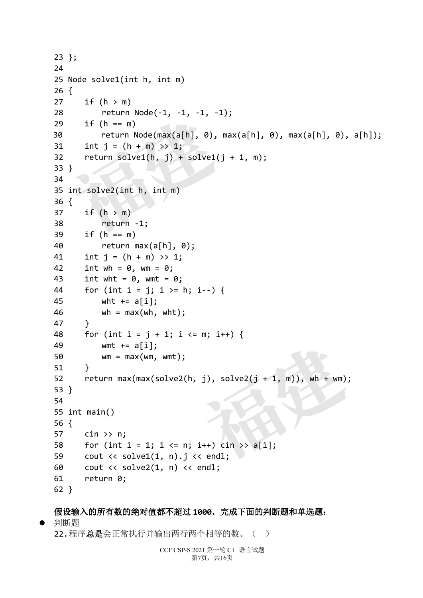```
23 };
24
25 Node solve1(int h, int m)
26 {
27 if (h > m)28 return Node(-1, -1, -1, -1);
29 if (h == m)30 return Node(max(a[h], 0), max(a[h], 0), max(a[h], 0), a[h]);
31 int j = (h + m) >> 1;
32 return solve1(h, j) + solve1(j + 1, m);
33 }
34
35 int solve2(int h, int m)
36 {
37 if (h > m)38 return -1;
39 if (h == m)
40 return max(a[h], 0);
41 int j = (h + m) >> 1;
42 int wh = 0, wm = 0;
43 int wht = 0, wmt = 0;
44 for (int i = j; i > = h; i - j {
45 wht += a[i];46 wh = max(wh, wht);47 }
48 for (int i = j + 1; i <= m; i++) {
49 wmt += a[i];
50 wm = max(wm, wmt);51 }
52 return max(max(solve2(h, j), solve2(j + 1, m)), wh + wm);
53 }
54
55 int main()
56 {
57 cin >> n;
58 for (int i = 1; i <= n; i++) cin >> a[i];
59 cout \langle\langle solve1(1, n). j \langle\langle endl;
60 cout << solve2(1, n) << endl;
61 return 0;
62 }
    return Node(-1, -1, -1, -1)<br>
if (h == m)<br>
return Node(max(a[h], 0), m<br>
int j = (h + m) >> 1;<br>
return solve1(h, j) + solve1(j<br>
}<br>
int solve2(int h, int m)<br>
{<br>
if (h > m)<br>
return -1;<br>
if (h == m)
                                           j), solve2(j + 1, m)), wh + wm);<br>
\frac{1}{2}<br>
\frac{1}{2}<br>
\frac{1}{2}<br>
\frac{1}{2}<br>
\frac{1}{2}<br>
\frac{1}{2}<br>
\frac{1}{2}<br>
\frac{1}{2}<br>
\frac{1}{2}<br>
\frac{1}{2}<br>
\frac{1}{2}<br>
\frac{1}{2}<br>
\frac{1}{2}<br>
\frac{1}{2}<br>
\frac{1}{2}<br>
\frac{1}{2}<br>
\frac{1}{2}<br>
```
### 假设输入的所有数的绝对值都不超过 **1000**,完成下面的判断题和单选题:

● 判断题

22.程序总是会正常执行并输出两行两个相等的数。( )

```
CCF CSP-S 2021 第一轮 C++语言试题
       第7页,共16页
```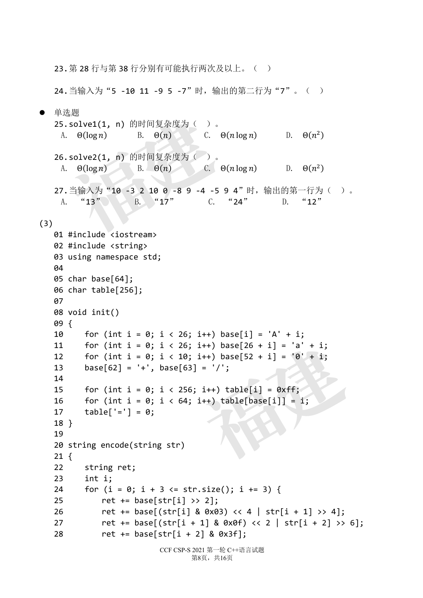23.第 28 行与第 38 行分别有可能执行两次及以上。( )

24. 当输入为"5 -10 11 -9 5 -7"时, 输出的第二行为"7"。( )

CCF CSP-S 2021 第一轮 C++语言试题 第8页,共16页 单选题 25.solve1(1, n) 的时间复杂度为( )。 A.  $\Theta(\log n)$  B.  $\Theta(n)$  C.  $\Theta(n \log n)$  D.  $\Theta(n^2)$ 26.solve2(1, n) 的时间复杂度为( )。 A.  $\Theta(\log n)$  B.  $\Theta(n)$  C.  $\Theta(n \log n)$  D.  $\Theta(n^2)$ 27.当输入为"10 -3 2 10 0 -8 9 -4 -5 9 4"时,输出的第一行为( )。 A. "13" B. "17" C. "24" D. "12" (3) 01 #include <iostream> 02 #include <string> 03 using namespace std; **04** 05 char base[64]; 06 char table[256]; **07** 08 void init() 09 { 10 for (int i = 0; i < 26; i++) base[i] = 'A' + i; 11 for (int i = 0; i < 26; i++) base[26 + i] = 'a' + i; 12 for (int i = 0; i < 10; i++) base[52 + i] =  $'0'$  + i; 13 base[62] = '+', base[63] = '/'; 14 15 for (int i = 0; i < 256; i++) table[i] =  $0xff$ ; 16 for (int i = 0; i < 64; i++) table[base[i]] = i; 17  $table['='] = 0;$ 18 } 19 20 string encode(string str) 21 { 22 string ret; 23 int i; 24 for  $(i = 0; i + 3 \leq str.size(); i += 3)$  { 25 ret += base[str[i] >> 2]; 26 ret += base[(str[i] & 0x03) << 4 | str[i + 1] >> 4]; 27 ret += base[(str[i + 1] & 0x0f) << 2 | str[i + 2] >> 6]; 28 ret += base[str[i + 2] & 0x3f]; **福建** i++) base[26 + i] = 'a' + i;<br>i++) base[52 + i] = '0' + i;<br>= '/';<br>i++) table[i] = 0xff;<br>i++) table[base[i]] = i;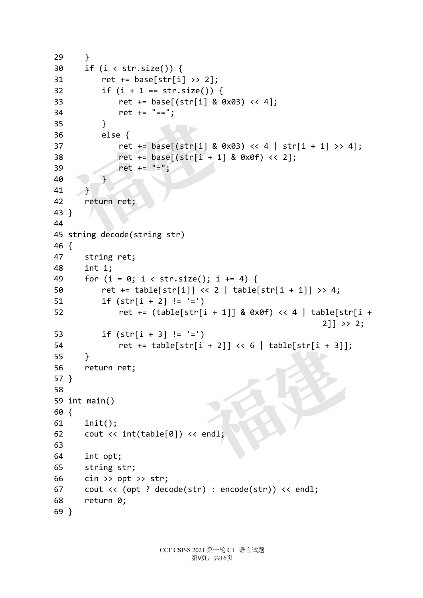```
29 }
30 if (i < str.size()) {
31 ret += base[str[i] >> 2];
32 if (i + 1 == str.size()) {
33 ret += base[(str[i] & 0x03) << 4];
34 ret += "==";
35 }
36 else {
37 ret += base[(str[i] & 0x03) << 4 | str[i + 1] >> 4];
38 ret += base[(str[i + 1] & 0x0f) << 2];
39 ret += "=";
40 }
41 }
42 return ret;
43 }
44
45 string decode(string str)
46 {
47 string ret;
48 int i;
49 for (i = 0; i < str.size(); i += 4) {
50 ret += table[str[i]] << 2 | table[str[i + 1]] >> 4;
51 if \left( str[i + 2] \right) = '=')52 ret += (table[str[i + 1]] & 0x0f) << 4 | table[str[i + 
                                              2]] >> 2;
53 if (str[i + 3] != '=')
54 ret += table[str[i + 2]] << 6 | table[str[i + 3]];
55 }
56 return ret;
57 }
58 
59 int main()
60 {
61 init();
62 cout << int(table[0]) << endl;
63
64 int opt;
65 string str;
66 cin >> opt >> str;
67 cout << (opt ? decode(str) : encode(str)) << endl;
68 return 0;
69 }
  福建
                         福建
```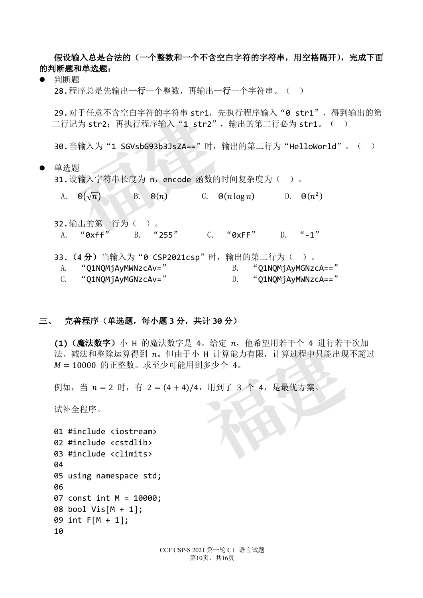假设输入总是合法的(一个整数和一个不含空白字符的字符串,用空格隔开),完成下面 的判断题和单选题:

l 判断题

28.程序总是先输出一行一个整数,再输出一行一个字符串。( )

29. 对于任意不含空白字符的字符串 str1, 先执行程序输入"0 str1", 得到输出的第 二行记为 str2;再执行程序输入"1\_str2",输出的第二行必为 str1。( )

30. 当输入为"1 SGVsbG93b3JsZA=="时, 输出的第二行为"HelloWorld"。( )

● 单洗题

31. 设输入字符串长度为 n, encode 函数的时间复杂度为()。

A.  $\Theta(\sqrt{n})$  B.  $\Theta(n)$  C.  $\Theta(n \log n)$  D.  $\Theta(n^2)$ 

- 32.输出的第一行为( )。 A. "0xff" B. "255" C. "0xFF" D. "-1" x) 于任息不含至日子付的子付申 **str1,** 先:<br>记为 **str2**; 再执行程序输入"1 **str2"**,<br>当输入为"1 SGVsbG93b3JsZA=="时,辅<br><br>e<br> @(√n) B. Θ(n) C. Θ(<br>输出的第一行为( )。<br>"0xff" B. "255" C.
- 33. (4分) 当输入为"0 CSP2021csp"时, 输出的第二行为()。 A. "O1NOMjAyMWNzcAv=" B. "O1NOMjAyMGNzcA==" C. "Q1NQMjAyMGNzcAv=" D. "Q1NQMjAyMWNzcA=="

#### 三、 完善程序(单选题,每小题 **3** 分,共计 **30** 分)

(1) (魔法数字) 小 H 的魔法数字是 4。给定 n, 他希望用若干个 4 进行若干次加 法、减法和整除运算得到 n。但由于小 H 计算能力有限, 计算过程中只能出现不超过  $M = 10000$  的正整数。求至少可能用到多少个 4。 **福建**

例如, 当  $n = 2$  时, 有  $2 = (4 + 4)/4$ , 用到了  $3 \uparrow 4$ , 是最优方案。

试补全程序。

```
01 #include <iostream>
02 #include <cstdlib>
03 #include <climits>
04
05 using namespace std;
06 
07 const int M = 10000;
08 bool Vis[M + 1];
09 int F[M + 1];
10
```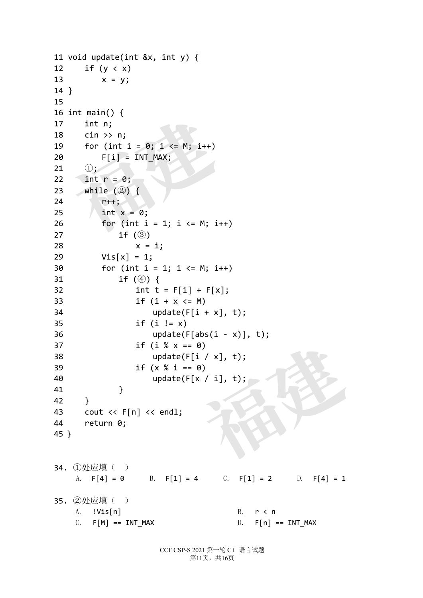```
11 void update(int &x, int y) {
12 if (y \lt x)13 x = y;14 }
15 
16 int main() {
17 int n;
18 cin >> n;
19 for (int i = 0; i \le M; i+120 F[i] = INT MAX;21 (1);
22 int r = 0;
23 while (②) {
24 r++;
25 \int \int \ln t \, x = 0;26 for (int i = 1; i \le M; i++)27 if (③)
28 x = i;29 Vis[x] = 1;30 for (int i = 1; i \le M; i++)31 if (\circled{4}) {
32 int t = F[i] + F[x];
33 if (i + x \le M)34 update(F[i + x], t);35 if (i != x)36 update(F[abs(i - x)], t);37 if (i % x == 0)
38 update(F[i / x], t);
39 if (x % i == 0)
40 update(F[x / i], t);
41 }
42 }
43 cout << F[n] << endl;
44 return 0;
45 }
34. ①处应填( )
   A. F[4] = 0 B. F[1] = 4 C. F[1] = 2 D. F[4] = 1
35. ②处应填( )
   A. !Vis[n] B. r < n
   C. F[M] == INT MAX D. F[n] == INT MAXInt main() {<br>
int n;<br>
cin >> n;<br>
for (int i = 0; i <= M; i++)<br>
F[i] = INT_MAX;<br>
(1);<br>
int r = 0;<br>
while (2) {<br>
r++;<br>
int x = 0;<br>
for (int i = 1; i <= M; i++<br>
if (3)
                          福建
```
CCF CSP-S 2021 第一轮 C++语言试题 第11页,共16页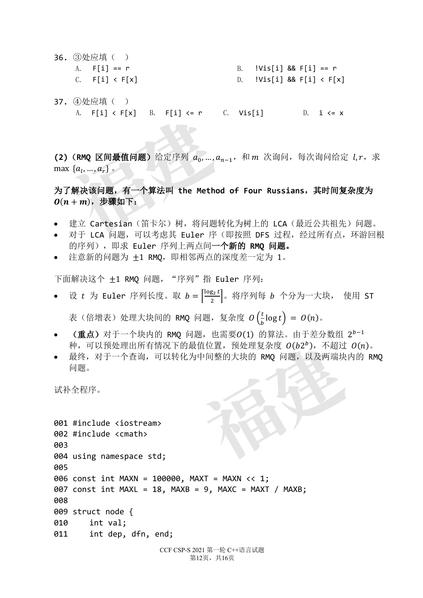- 36. ③处应填( ) A. F[i] == r B. !Vis[i] && F[i] == r C. F[i] < F[x] D. !Vis[i] && F[i] < F[x]
- 37. ④处应填( ) A.  $F[i] < F[x]$  B.  $F[i] < r$  C. Vis[i] D. i  $\le x$

 $(2)$  (RMQ 区间最值问题)给定序列  $a_0, ..., a_{n-1}$ , 和 m 次询问, 每次询问给定  $l, r$ , 求 max  $\{a_1, ..., a_r\}$  . A. F[1] < F[x] B. F[1] <= F<br><br>(RMQ 区间最值问题) 给定序列 a<sub>0</sub>,...,a<sub>n-</sub><br>:{a<sub>l</sub>,...,a<sub>r</sub>}。<br><br>**\*解决该问题, 有一个算法叫 the Method**<br>!+m), 步骤如下:<br>建立 Cartesian (笛卡尔) 树, 将问题转<br>对于 LCA 问题, 可以考虑其 Euler 序 (

为了解决该问题,有一个算法叫 **the Method of Four Russians**,其时间复杂度为  $O(n + m)$ , 步骤如下:

- 建立 Cartesian(笛卡尔)树,将问题转化为树上的 LCA(最近公共祖先)问题。
- 对于 LCA 问题, 可以考虑其 Euler 序 (即按照 DFS 过程, 经过所有点, 环游回根 的序列),即求 Euler 序列上两点间一个新的 **RMQ** 问题。
- 注意新的问题为 +1 RMO, 即相邻两点的深度差一定为 1。

下面解决这个 ±1 RMQ 问题, "序列"指 Euler 序列:

● 设  $t$  为 Euler 序列长度。取  $b = \left[\frac{\log_2 t}{2}\right]$ 。将序列每  $b$  个分为一大块, 使用 ST

表(倍增表)处理大块间的 RMQ 问题,复杂度  $O\left(\frac{t}{b} \log t\right) = \mathit{O}(n)$ 。

 $($ 重点) 对于一个块内的 RMQ 问题, 也需要 $O(1)$  的算法。由于差分数组  $2^{b-1}$ 种,可以预处理出所有情况下的最值位置,预处理复杂度  $O(b2^b)$ , 不超过  $O(n)$ 。

第12页, 共16页

• 最终,对于一个查询,可以转化为中间整的大块的 RMQ 问题,以及两端块内的 RMQ 问题。

试补全程序。

```
CCF CSP-S 2021 第一轮 C++语言试题
001 #include <iostream>
002 #include <cmath>
003 
004 using namespace std;
005 
006 const int MAXN = 100000, MAXT = MAXN << 1;
007 const int MAXL = 18, MAXB = 9, MAXC = MAXT / MAXB;
008 
009 struct node {
010 int val;
011 int dep, dfn, end;
                            福建
```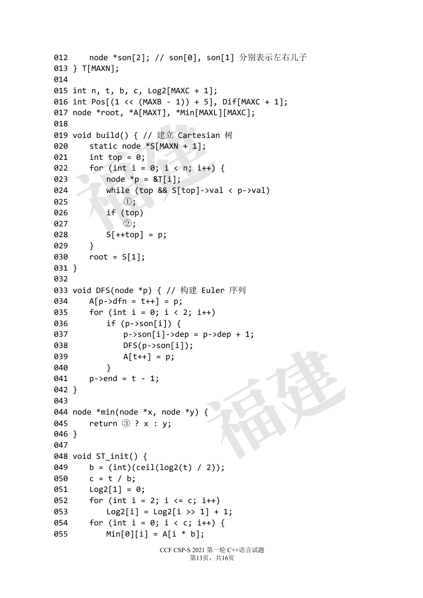```
CCF CSP-S 2021 第一轮 C++语言试题
                              第13页,共16页
012 node *son[2]; // son[0], son[1] 分别表示左右儿子
013 } T[MAXN];
014 
015 int n, t, b, c, Log2[MAXC + 1];
016 int Pos[(1 \lt \lt (MAXB - 1)) + 5], DifMAXC + 1;
017 node *root, *A[MAXT], *Min[MAXL][MAXC];
018 
019 void build() { // 建立 Cartesian 树
020 static node *S[MAXN + 1];
021 int top = 0;022 for (int i = 0; i < n; i++) {
023 node * p = &T[i];024 while (top && S[top]->val < p->val)
025 ①;
026 if (top)
\bullet 27 (2);
028 5[++top] = p;029 }
030 root = S[1];
031 }
032 
033 void DFS(node *p) { // 构建 Euler 序列
034 A[p->dfn = t++] = p;
035 for (int i = 0; i < 2; i++)036 if (p->son[i]) {
037   p-\text{son}[i] - \text{dep} = p-\text{dep} + 1;038 DFS(p->son[i]);
039 A[t++] = p;040 }
041 p->end = t - 1;
042 }
043 
044 node *min(node *x, node *y) {
045 return ③ ? x : y;
046 }
047 
048 void ST_init() {
049 b = (int)(ceil(log2(t) / 2));
050 c = t / b;
051 Log2[1] = 0;052 for (int i = 2; i \leq c; i++)053 Log2[i] = Log2[i] \gg 1] + 1;054 for (int i = 0; i < c; i++) {
055 Min[0][i] = A[i * b];
   node "root, "A[MAXI], "Min[MAXL][<br>void build() { // 建立 Cartesian *<br>static node *S[MAXN + 1];<br>int top = 0;<br>for (int i = 0; i < n; i++) {<br>node *p = &T[i];<br>while (top && S[top]->val<br>①;<br>if (top)<br>②;<br>S[++top] = p;
                                西南市
```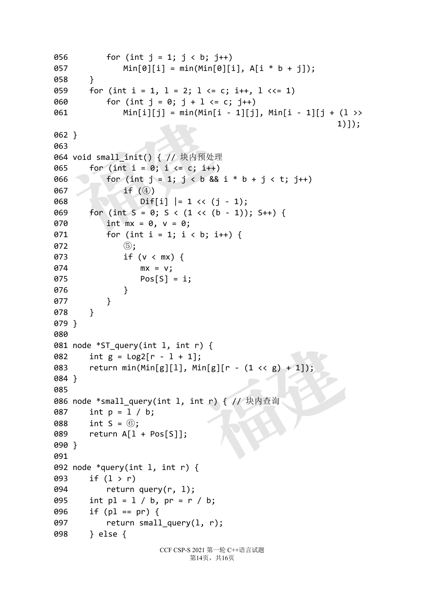```
CCF CSP-S 2021 第一轮 C++语言试题
056 for (int j = 1; j < b; j++)057 Min[0][i] = min(Min[0][i], A[i * b + j]);
058 }
059 for (int i = 1, 1 = 2; 1 <= c; i++, 1 <<= 1)
060 for (int j = 0; j + 1 \leq c; j++)061 Min[i][j] = min(Min[i - 1][j], Min[i - 1][j + (l >>
                                                               1)]);
062 }
063 
064 void small_init() { // 块内预处理
065 for (int i = 0; i \le c; i++)066 for (int j = 1; j < b & 8 & i * b + j < t; j++)067 if (4)068 Diff[i] |= 1 << (j - 1);069 for (int S = 0; S < (1 \lt C (b - 1)); S++) {
070 int mx = 0, v = 0;
071 for (int i = 1; i < b; i++) {
072 (5);
073 if (v < mx) {
074 mx = v;
075 Pos[S] = i;
076 }
077 }
078 }
079 }
080 
081 node *ST query(int l, int r) {
082 int g = \text{Log2}[r - 1 + 1];083 return min(Min[g][1], Min[g][r - (1 \lt t g) + 1]);
084 }
085 
086 node *small query(int l, int r) { // 块内查询
087 int p = l / b;
088 int S = 6;
089 return A[l + Pos[S]];
090 }
091 
092 node *query(int l, int r) {
093 if (l > r)
094 return query(r, 1);
095 int p1 = 1 / b, pr = r / b;
096 if (pl == pr) {
097 return small_query(l, r);
098 } else {
   Min[i][j]] = min(Min[i<br>}<br>}<br>void small_init() { // 块内预处理<br>for (int i = 0; i <= c; i++)<br>for (int j = 1; j < b && i<br>if (④)<br>Dif[i] |= 1 << (j -<br>for (int S = 0; S < (1 << (b -<br>int mx = 0, v = 0;<br>for (int i = 1; i < b; i++
                                ){<br>;<br>in[g][r - (1 << g) + 1]);<br>t r) { // 块内查询
```
第14页, 共16页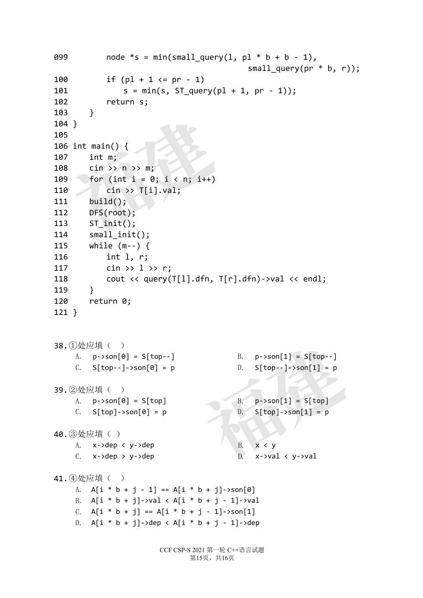```
CCF CSP-S 2021 第一轮 C++语言试题
                                第15页,共16页
099 node *s = min(small_query(1, pl * b + b - 1),small query(pr * b, r));
100 if (pl + 1 <= pr - 1)
101 s = min(s, ST query(p1 + 1, pr - 1));102 return s;
103 }
104 }
105 
106 int main() {
107 int m;
108 cin >> n >> m;
109 for (int i = 0; i < n; i++)110 cin >> T[i].val;
111 build();
112 DFS(root);
113 ST_init();
114 small_init();
115 while (m--) {
116 int l, r;
117 cin >> 1 >> r;
118 cout << query(T[l].dfn, T[r].dfn)->val << endl;
119 }
120 return 0;
121 }
38.①处应填( )
     A. p-\text{son}[0] = S[\text{top--}] B. p-\text{son}[1] = S[\text{top--}]C. S[top--]->son[0] = p D. S[top--]->son[1] = p
39.②处应填( )
     A. p\rightarrow son[0] = S[top] B. p\rightarrow son[1] = S[top]C. S[top] \rightarrow son[0] = p D. S[top] \rightarrow son[1] = p40.③处应填( )
     A. x->dep < y->dep B. x < yC. x->dep > y->dep D. x->val < y->val
41.4 处应填()
     A. A[i * b + j - 1] == A[i * b + j]->son[0]
     B. A[i * b + j]->val < A[i * b + j - 1]->val
     C. A[i * b + j] == A[i * b + j - 1]->son[1]
     D. A[i * b + j]->dep < A[i * b + j - 1]->dep
   }<br>
int main() {<br>
int m;<br>
cin >> n >> m;<br>
for (int i = 0; i < n; i++)<br>
cin >> T[i].val;<br>
build();<br>
DFS(root);<br>
ST_init();<br>
small init();
                                   B. p->son[1] = S[top--]<br>
D. S[top--]->son[1] = p<br>
B. p->son[1] = S[top]<br>
D. S[top]->son[1] = p<br>
B. x < y<br>
D. x->val < y->val
```